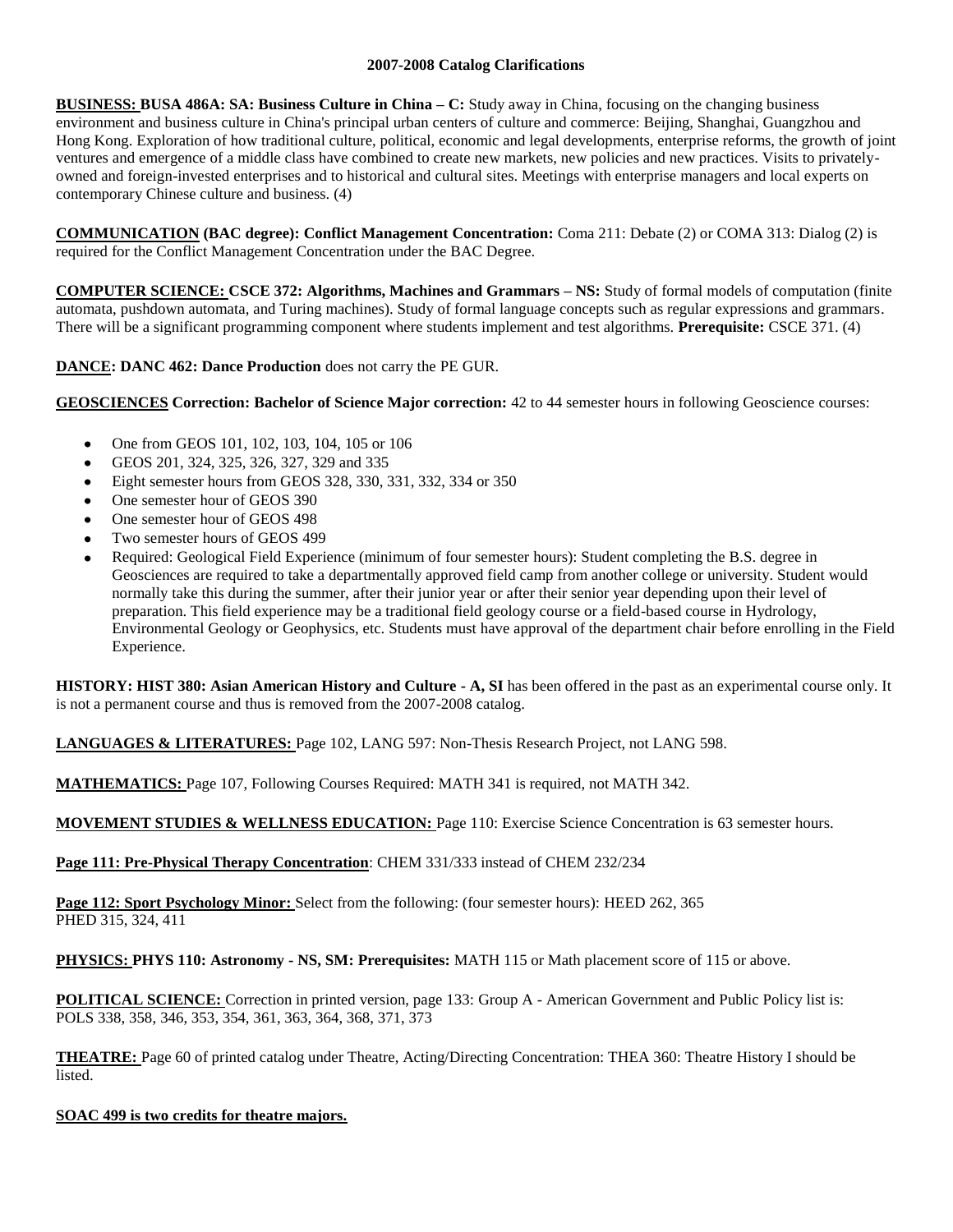# **2007-2008 Catalog Clarifications**

**BUSINESS: BUSA 486A: SA: Business Culture in China – C:** Study away in China, focusing on the changing business environment and business culture in China's principal urban centers of culture and commerce: Beijing, Shanghai, Guangzhou and Hong Kong. Exploration of how traditional culture, political, economic and legal developments, enterprise reforms, the growth of joint ventures and emergence of a middle class have combined to create new markets, new policies and new practices. Visits to privatelyowned and foreign-invested enterprises and to historical and cultural sites. Meetings with enterprise managers and local experts on contemporary Chinese culture and business. (4)

**COMMUNICATION (BAC degree): Conflict Management Concentration:** Coma 211: Debate (2) or COMA 313: Dialog (2) is required for the Conflict Management Concentration under the BAC Degree.

**COMPUTER SCIENCE: CSCE 372: Algorithms, Machines and Grammars – NS:** Study of formal models of computation (finite automata, pushdown automata, and Turing machines). Study of formal language concepts such as regular expressions and grammars. There will be a significant programming component where students implement and test algorithms. **Prerequisite:** CSCE 371. (4)

# **DANCE: DANC 462: Dance Production** does not carry the PE GUR.

**GEOSCIENCES Correction: Bachelor of Science Major correction:** 42 to 44 semester hours in following Geoscience courses:

- $\bullet$ One from GEOS 101, 102, 103, 104, 105 or 106
- GEOS 201, 324, 325, 326, 327, 329 and 335
- Eight semester hours from GEOS 328, 330, 331, 332, 334 or 350
- One semester hour of GEOS 390
- One semester hour of GEOS 498
- Two semester hours of GEOS 499
- Required: Geological Field Experience (minimum of four semester hours): Student completing the B.S. degree in Geosciences are required to take a departmentally approved field camp from another college or university. Student would normally take this during the summer, after their junior year or after their senior year depending upon their level of preparation. This field experience may be a traditional field geology course or a field-based course in Hydrology, Environmental Geology or Geophysics, etc. Students must have approval of the department chair before enrolling in the Field Experience.

**HISTORY: HIST 380: Asian American History and Culture - A, SI** has been offered in the past as an experimental course only. It is not a permanent course and thus is removed from the 2007-2008 catalog.

**LANGUAGES & LITERATURES:** Page 102, LANG 597: Non-Thesis Research Project, not LANG 598.

**MATHEMATICS:** Page 107, Following Courses Required: MATH 341 is required, not MATH 342.

**MOVEMENT STUDIES & WELLNESS EDUCATION:** Page 110: Exercise Science Concentration is 63 semester hours.

**Page 111: Pre-Physical Therapy Concentration**: CHEM 331/333 instead of CHEM 232/234

**Page 112: Sport Psychology Minor:** Select from the following: (four semester hours): HEED 262, 365 PHED 315, 324, 411

**PHYSICS: PHYS 110: Astronomy - NS, SM: Prerequisites:** MATH 115 or Math placement score of 115 or above.

**POLITICAL SCIENCE:** Correction in printed version, page 133: Group A - American Government and Public Policy list is: POLS 338, 358, 346, 353, 354, 361, 363, 364, 368, 371, 373

**THEATRE:** Page 60 of printed catalog under Theatre, Acting/Directing Concentration: THEA 360: Theatre History I should be listed.

#### **SOAC 499 is two credits for theatre majors.**